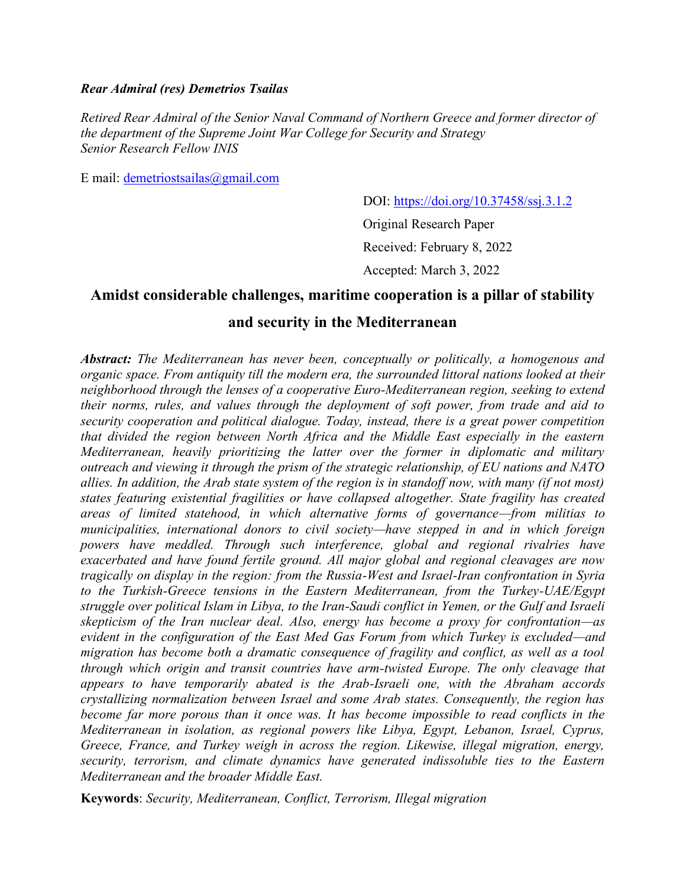## *Rear Admiral (res) Demetrios Tsailas*

*Retired Rear Admiral of the Senior Naval Command of Northern Greece and former director of the department of the Supreme Joint War College for Security and Strategy Senior Research Fellow INIS*

E mail: [demetriostsailas@gmail.com](mailto:demetriostsailas@gmail.com)

DOI: [https://doi.org/10.37458/ssj.3.1.2](https://doi.org/10.37458/ssj.3.1.1)

Original Research Paper Received: February 8, 2022

Accepted: March 3, 2022

# **Amidst considerable challenges, maritime cooperation is a pillar of stability**

# **and security in the Mediterranean**

*Abstract: The Mediterranean has never been, conceptually or politically, a homogenous and organic space. From antiquity till the modern era, the surrounded littoral nations looked at their neighborhood through the lenses of a cooperative Euro-Mediterranean region, seeking to extend their norms, rules, and values through the deployment of soft power, from trade and aid to security cooperation and political dialogue. Today, instead, there is a great power competition that divided the region between North Africa and the Middle East especially in the eastern Mediterranean, heavily prioritizing the latter over the former in diplomatic and military outreach and viewing it through the prism of the strategic relationship, of EU nations and NATO allies. In addition, the Arab state system of the region is in standoff now, with many (if not most) states featuring existential fragilities or have collapsed altogether. State fragility has created areas of limited statehood, in which alternative forms of governance—from militias to municipalities, international donors to civil society—have stepped in and in which foreign powers have meddled. Through such interference, global and regional rivalries have exacerbated and have found fertile ground. All major global and regional cleavages are now tragically on display in the region: from the Russia-West and Israel-Iran confrontation in Syria to the Turkish-Greece tensions in the Eastern Mediterranean, from the Turkey-UAE/Egypt struggle over political Islam in Libya, to the Iran-Saudi conflict in Yemen, or the Gulf and Israeli skepticism of the Iran nuclear deal. Also, energy has become a proxy for confrontation—as evident in the configuration of the East Med Gas Forum from which Turkey is excluded—and migration has become both a dramatic consequence of fragility and conflict, as well as a tool through which origin and transit countries have arm-twisted Europe. The only cleavage that appears to have temporarily abated is the Arab-Israeli one, with the Abraham accords crystallizing normalization between Israel and some Arab states. Consequently, the region has become far more porous than it once was. It has become impossible to read conflicts in the Mediterranean in isolation, as regional powers like Libya, Egypt, Lebanon, Israel, Cyprus, Greece, France, and Turkey weigh in across the region. Likewise, illegal migration, energy, security, terrorism, and climate dynamics have generated indissoluble ties to the Eastern Mediterranean and the broader Middle East.*

**Keywords**: *Security, Mediterranean, Conflict, Terrorism, Illegal migration*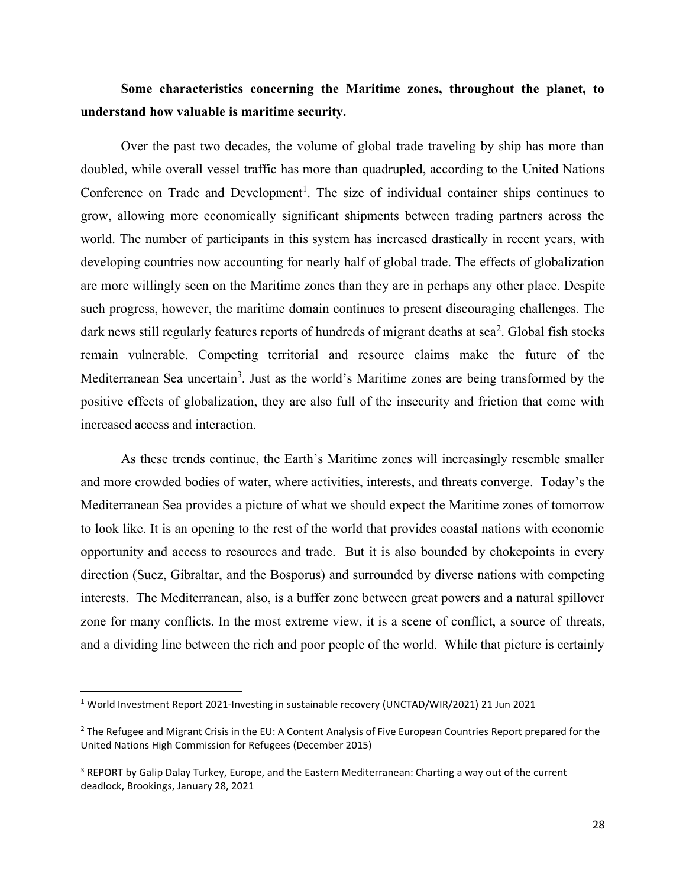# **Some characteristics concerning the Maritime zones, throughout the planet, to understand how valuable is maritime security.**

Over the past two decades, the volume of global trade traveling by ship has more than doubled, while overall vessel traffic has more than quadrupled, according to the United Nations Conference on Trade and Development<sup>1</sup>. The size of individual container ships continues to grow, allowing more economically significant shipments between trading partners across the world. The number of participants in this system has increased drastically in recent years, with developing countries now accounting for nearly half of global trade. The effects of globalization are more willingly seen on the Maritime zones than they are in perhaps any other place. Despite such progress, however, the maritime domain continues to present discouraging challenges. The dark news still regularly features reports of hundreds of migrant deaths at sea<sup>2</sup>. Global fish stocks remain vulnerable. Competing territorial and resource claims make the future of the Mediterranean Sea uncertain<sup>3</sup>. Just as the world's Maritime zones are being transformed by the positive effects of globalization, they are also full of the insecurity and friction that come with increased access and interaction.

As these trends continue, the Earth's Maritime zones will increasingly resemble smaller and more crowded bodies of water, where activities, interests, and threats converge. Today's the Mediterranean Sea provides a picture of what we should expect the Maritime zones of tomorrow to look like. It is an opening to the rest of the world that provides coastal nations with economic opportunity and access to resources and trade. But it is also bounded by chokepoints in every direction (Suez, Gibraltar, and the Bosporus) and surrounded by diverse nations with competing interests. The Mediterranean, also, is a buffer zone between great powers and a natural spillover zone for many conflicts. In the most extreme view, it is a scene of conflict, a source of threats, and a dividing line between the rich and poor people of the world. While that picture is certainly

<sup>1</sup> World Investment Report 2021-Investing in sustainable recovery (UNCTAD/WIR/2021) 21 Jun 2021

<sup>&</sup>lt;sup>2</sup> The Refugee and Migrant Crisis in the EU: A Content Analysis of Five European Countries Report prepared for the United Nations High Commission for Refugees (December 2015)

<sup>&</sup>lt;sup>3</sup> REPORT by Galip Dalay Turkey, Europe, and the Eastern Mediterranean: Charting a way out of the current deadlock, Brookings, January 28, 2021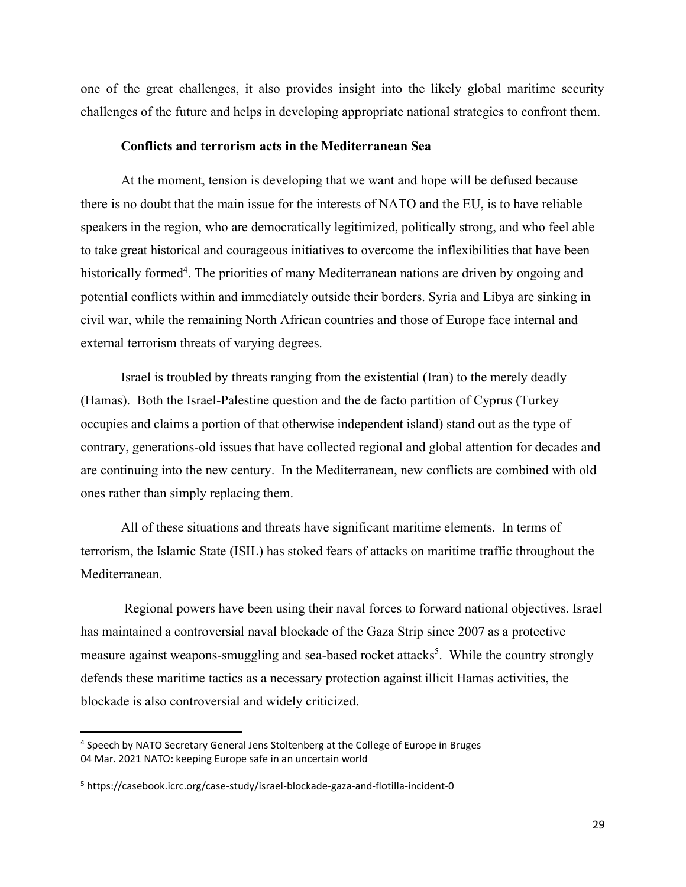one of the great challenges, it also provides insight into the likely global maritime security challenges of the future and helps in developing appropriate national strategies to confront them.

### **Conflicts and terrorism acts in the Mediterranean Sea**

At the moment, tension is developing that we want and hope will be defused because there is no doubt that the main issue for the interests of NATO and the EU, is to have reliable speakers in the region, who are democratically legitimized, politically strong, and who feel able to take great historical and courageous initiatives to overcome the inflexibilities that have been historically formed<sup>4</sup>. The priorities of many Mediterranean nations are driven by ongoing and potential conflicts within and immediately outside their borders. Syria and Libya are sinking in civil war, while the remaining North African countries and those of Europe face internal and external terrorism threats of varying degrees.

Israel is troubled by threats ranging from the existential (Iran) to the merely deadly (Hamas). Both the Israel-Palestine question and the de facto partition of Cyprus (Turkey occupies and claims a portion of that otherwise independent island) stand out as the type of contrary, generations-old issues that have collected regional and global attention for decades and are continuing into the new century. In the Mediterranean, new conflicts are combined with old ones rather than simply replacing them.

All of these situations and threats have significant maritime elements. In terms of terrorism, the Islamic State (ISIL) has stoked fears of attacks on maritime traffic throughout the Mediterranean.

Regional powers have been using their naval forces to forward national objectives. Israel has maintained a controversial naval blockade of the Gaza Strip since 2007 as a protective measure against weapons-smuggling and sea-based rocket attacks<sup>5</sup>. While the country strongly defends these maritime tactics as a necessary protection against illicit Hamas activities, the blockade is also controversial and widely criticized.

<sup>4</sup> Speech by NATO Secretary General Jens Stoltenberg at the College of Europe in Bruges 04 Mar. 2021 NATO: keeping Europe safe in an uncertain world

<sup>5</sup> https://casebook.icrc.org/case-study/israel-blockade-gaza-and-flotilla-incident-0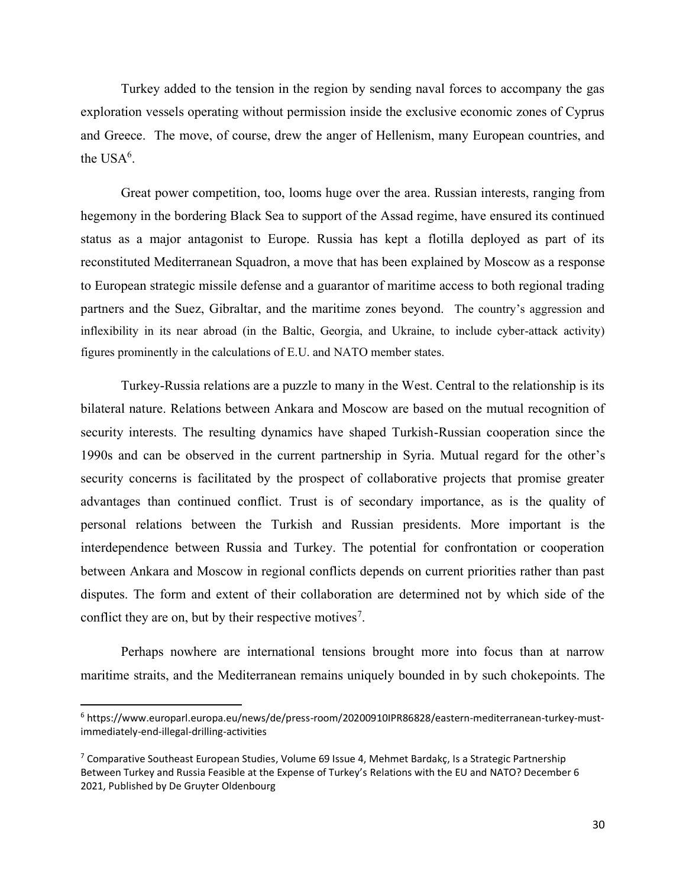Turkey added to the tension in the region by sending naval forces to accompany the gas exploration vessels operating without permission inside the exclusive economic zones of Cyprus and Greece. The move, of course, drew the anger of Hellenism, many European countries, and the  $USA<sup>6</sup>$ .

Great power competition, too, looms huge over the area. Russian interests, ranging from hegemony in the bordering Black Sea to support of the Assad regime, have ensured its continued status as a major antagonist to Europe. Russia has kept a flotilla deployed as part of its reconstituted Mediterranean Squadron, a move that has been explained by Moscow as a response to European strategic missile defense and a guarantor of maritime access to both regional trading partners and the Suez, Gibraltar, and the maritime zones beyond. The country's aggression and inflexibility in its near abroad (in the Baltic, Georgia, and Ukraine, to include cyber-attack activity) figures prominently in the calculations of E.U. and NATO member states.

Turkey-Russia relations are a puzzle to many in the West. Central to the relationship is its bilateral nature. Relations between Ankara and Moscow are based on the mutual recognition of security interests. The resulting dynamics have shaped Turkish-Russian cooperation since the 1990s and can be observed in the current partnership in Syria. Mutual regard for the other's security concerns is facilitated by the prospect of collaborative projects that promise greater advantages than continued conflict. Trust is of secondary importance, as is the quality of personal relations between the Turkish and Russian presidents. More important is the interdependence between Russia and Turkey. The potential for confrontation or cooperation between Ankara and Moscow in regional conflicts depends on current priorities rather than past disputes. The form and extent of their collaboration are determined not by which side of the conflict they are on, but by their respective motives<sup>7</sup>.

Perhaps nowhere are international tensions brought more into focus than at narrow maritime straits, and the Mediterranean remains uniquely bounded in by such chokepoints. The

<sup>6</sup> https://www.europarl.europa.eu/news/de/press-room/20200910IPR86828/eastern-mediterranean-turkey-mustimmediately-end-illegal-drilling-activities

<sup>&</sup>lt;sup>7</sup> Comparative Southeast European Studies, Volume 69 Issue 4, Mehmet Bardakç, Is a Strategic Partnership Between Turkey and Russia Feasible at the Expense of Turkey's Relations with the EU and NATO? December 6 2021, Published by De Gruyter Oldenbourg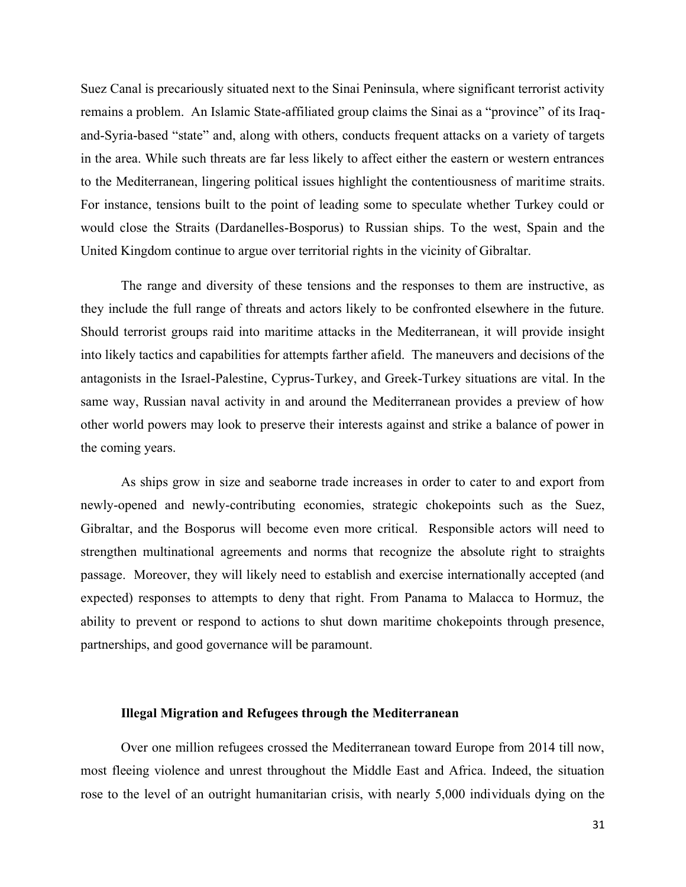Suez Canal is precariously situated next to the Sinai Peninsula, where significant terrorist activity remains a problem. An Islamic State-affiliated group claims the Sinai as a "province" of its Iraqand-Syria-based "state" and, along with others, conducts frequent attacks on a variety of targets in the area. While such threats are far less likely to affect either the eastern or western entrances to the Mediterranean, lingering political issues highlight the contentiousness of maritime straits. For instance, tensions built to the point of leading some to speculate whether Turkey could or would close the Straits (Dardanelles-Bosporus) to Russian ships. To the west, Spain and the United Kingdom continue to argue over territorial rights in the vicinity of Gibraltar.

The range and diversity of these tensions and the responses to them are instructive, as they include the full range of threats and actors likely to be confronted elsewhere in the future. Should terrorist groups raid into maritime attacks in the Mediterranean, it will provide insight into likely tactics and capabilities for attempts farther afield. The maneuvers and decisions of the antagonists in the Israel-Palestine, Cyprus-Turkey, and Greek-Turkey situations are vital. In the same way, Russian naval activity in and around the Mediterranean provides a preview of how other world powers may look to preserve their interests against and strike a balance of power in the coming years.

As ships grow in size and seaborne trade increases in order to cater to and export from newly-opened and newly-contributing economies, strategic chokepoints such as the Suez, Gibraltar, and the Bosporus will become even more critical. Responsible actors will need to strengthen multinational agreements and norms that recognize the absolute right to straights passage. Moreover, they will likely need to establish and exercise internationally accepted (and expected) responses to attempts to deny that right. From Panama to Malacca to Hormuz, the ability to prevent or respond to actions to shut down maritime chokepoints through presence, partnerships, and good governance will be paramount.

#### **Illegal Migration and Refugees through the Mediterranean**

Over one million refugees crossed the Mediterranean toward Europe from 2014 till now, most fleeing violence and unrest throughout the Middle East and Africa. Indeed, the situation rose to the level of an outright humanitarian crisis, with nearly 5,000 individuals dying on the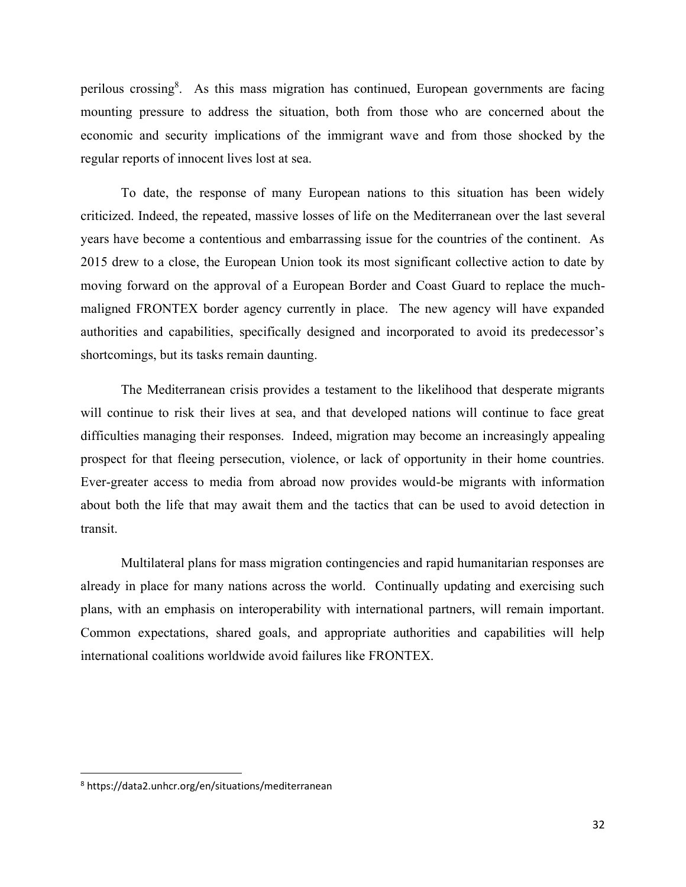perilous crossing<sup>8</sup>. As this mass migration has continued, European governments are facing mounting pressure to address the situation, both from those who are concerned about the economic and security implications of the immigrant wave and from those shocked by the regular reports of innocent lives lost at sea.

To date, the response of many European nations to this situation has been widely criticized. Indeed, the repeated, massive losses of life on the Mediterranean over the last several years have become a contentious and embarrassing issue for the countries of the continent. As 2015 drew to a close, the European Union took its most significant collective action to date by moving forward on the approval of a European Border and Coast Guard to replace the muchmaligned FRONTEX border agency currently in place. The new agency will have expanded authorities and capabilities, specifically designed and incorporated to avoid its predecessor's shortcomings, but its tasks remain daunting.

The Mediterranean crisis provides a testament to the likelihood that desperate migrants will continue to risk their lives at sea, and that developed nations will continue to face great difficulties managing their responses. Indeed, migration may become an increasingly appealing prospect for that fleeing persecution, violence, or lack of opportunity in their home countries. Ever-greater access to media from abroad now provides would-be migrants with information about both the life that may await them and the tactics that can be used to avoid detection in transit.

Multilateral plans for mass migration contingencies and rapid humanitarian responses are already in place for many nations across the world. Continually updating and exercising such plans, with an emphasis on interoperability with international partners, will remain important. Common expectations, shared goals, and appropriate authorities and capabilities will help international coalitions worldwide avoid failures like FRONTEX.

<sup>8</sup> https://data2.unhcr.org/en/situations/mediterranean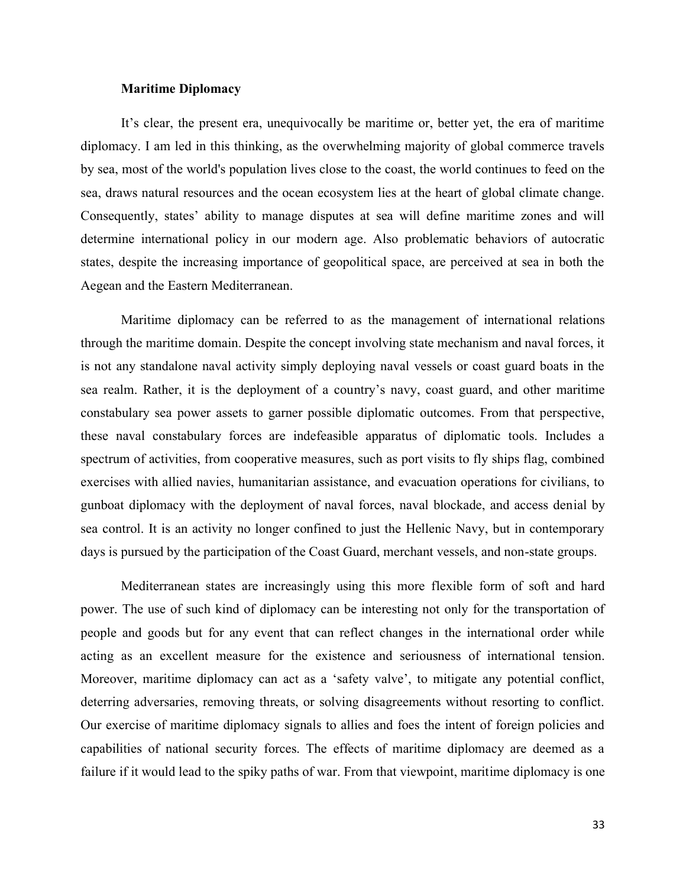## **Maritime Diplomacy**

It's clear, the present era, unequivocally be maritime or, better yet, the era of maritime diplomacy. I am led in this thinking, as the overwhelming majority of global commerce travels by sea, most of the world's population lives close to the coast, the world continues to feed on the sea, draws natural resources and the ocean ecosystem lies at the heart of global climate change. Consequently, states' ability to manage disputes at sea will define maritime zones and will determine international policy in our modern age. Also problematic behaviors of autocratic states, despite the increasing importance of geopolitical space, are perceived at sea in both the Aegean and the Eastern Mediterranean.

Maritime diplomacy can be referred to as the management of international relations through the maritime domain. Despite the concept involving state mechanism and naval forces, it is not any standalone naval activity simply deploying naval vessels or coast guard boats in the sea realm. Rather, it is the deployment of a country's navy, coast guard, and other maritime constabulary sea power assets to garner possible diplomatic outcomes. From that perspective, these naval constabulary forces are indefeasible apparatus of diplomatic tools. Includes a spectrum of activities, from cooperative measures, such as port visits to fly ships flag, combined exercises with allied navies, humanitarian assistance, and evacuation operations for civilians, to gunboat diplomacy with the deployment of naval forces, naval blockade, and access denial by sea control. It is an activity no longer confined to just the Hellenic Navy, but in contemporary days is pursued by the participation of the Coast Guard, merchant vessels, and non-state groups.

Mediterranean states are increasingly using this more flexible form of soft and hard power. The use of such kind of diplomacy can be interesting not only for the transportation of people and goods but for any event that can reflect changes in the international order while acting as an excellent measure for the existence and seriousness of international tension. Moreover, maritime diplomacy can act as a 'safety valve', to mitigate any potential conflict, deterring adversaries, removing threats, or solving disagreements without resorting to conflict. Our exercise of maritime diplomacy signals to allies and foes the intent of foreign policies and capabilities of national security forces. The effects of maritime diplomacy are deemed as a failure if it would lead to the spiky paths of war. From that viewpoint, maritime diplomacy is one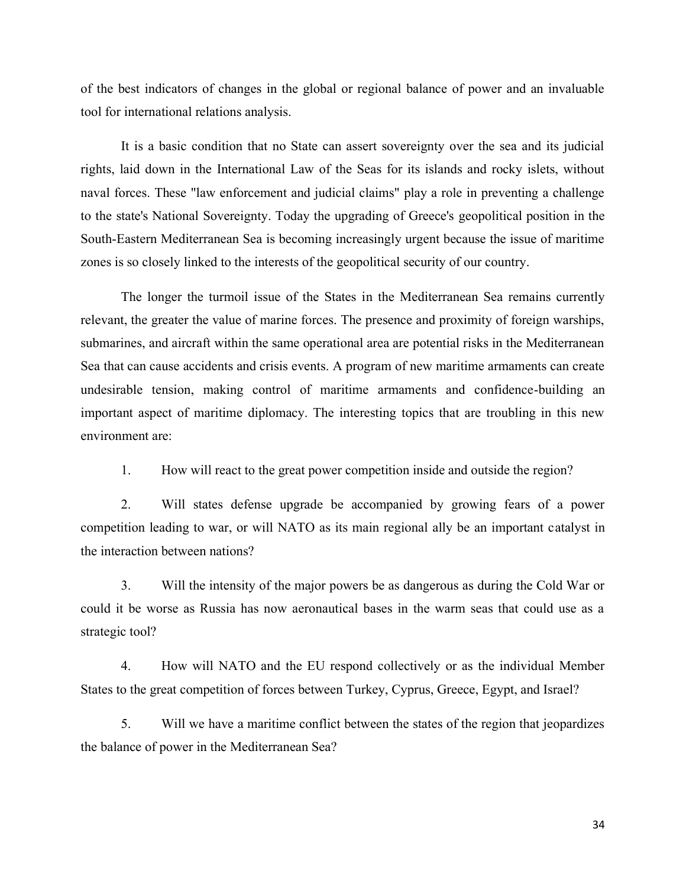of the best indicators of changes in the global or regional balance of power and an invaluable tool for international relations analysis.

It is a basic condition that no State can assert sovereignty over the sea and its judicial rights, laid down in the International Law of the Seas for its islands and rocky islets, without naval forces. These "law enforcement and judicial claims" play a role in preventing a challenge to the state's National Sovereignty. Today the upgrading of Greece's geopolitical position in the South-Eastern Mediterranean Sea is becoming increasingly urgent because the issue of maritime zones is so closely linked to the interests of the geopolitical security of our country.

The longer the turmoil issue of the States in the Mediterranean Sea remains currently relevant, the greater the value of marine forces. The presence and proximity of foreign warships, submarines, and aircraft within the same operational area are potential risks in the Mediterranean Sea that can cause accidents and crisis events. A program of new maritime armaments can create undesirable tension, making control of maritime armaments and confidence-building an important aspect of maritime diplomacy. The interesting topics that are troubling in this new environment are:

1. How will react to the great power competition inside and outside the region?

2. Will states defense upgrade be accompanied by growing fears of a power competition leading to war, or will NATO as its main regional ally be an important catalyst in the interaction between nations?

3. Will the intensity of the major powers be as dangerous as during the Cold War or could it be worse as Russia has now aeronautical bases in the warm seas that could use as a strategic tool?

4. How will NATO and the EU respond collectively or as the individual Member States to the great competition of forces between Turkey, Cyprus, Greece, Egypt, and Israel?

5. Will we have a maritime conflict between the states of the region that jeopardizes the balance of power in the Mediterranean Sea?

34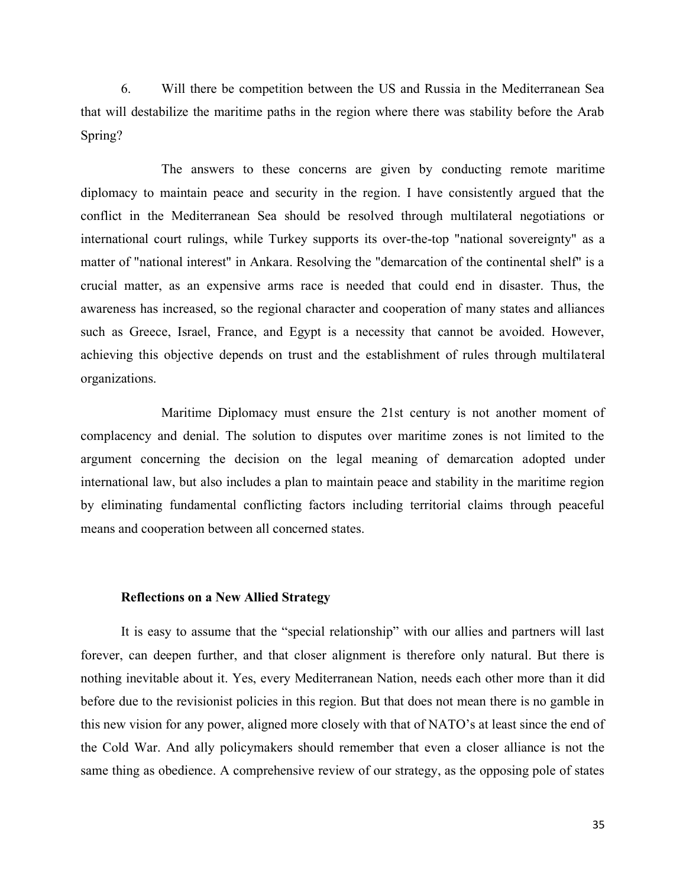6. Will there be competition between the US and Russia in the Mediterranean Sea that will destabilize the maritime paths in the region where there was stability before the Arab Spring?

The answers to these concerns are given by conducting remote maritime diplomacy to maintain peace and security in the region. I have consistently argued that the conflict in the Mediterranean Sea should be resolved through multilateral negotiations or international court rulings, while Turkey supports its over-the-top "national sovereignty" as a matter of "national interest" in Ankara. Resolving the "demarcation of the continental shelf" is a crucial matter, as an expensive arms race is needed that could end in disaster. Thus, the awareness has increased, so the regional character and cooperation of many states and alliances such as Greece, Israel, France, and Egypt is a necessity that cannot be avoided. However, achieving this objective depends on trust and the establishment of rules through multilateral organizations.

Maritime Diplomacy must ensure the 21st century is not another moment of complacency and denial. The solution to disputes over maritime zones is not limited to the argument concerning the decision on the legal meaning of demarcation adopted under international law, but also includes a plan to maintain peace and stability in the maritime region by eliminating fundamental conflicting factors including territorial claims through peaceful means and cooperation between all concerned states.

## **Reflections on a New Allied Strategy**

It is easy to assume that the "special relationship" with our allies and partners will last forever, can deepen further, and that closer alignment is therefore only natural. But there is nothing inevitable about it. Yes, every Mediterranean Nation, needs each other more than it did before due to the revisionist policies in this region. But that does not mean there is no gamble in this new vision for any power, aligned more closely with that of NATO's at least since the end of the Cold War. And ally policymakers should remember that even a closer alliance is not the same thing as obedience. A comprehensive review of our strategy, as the opposing pole of states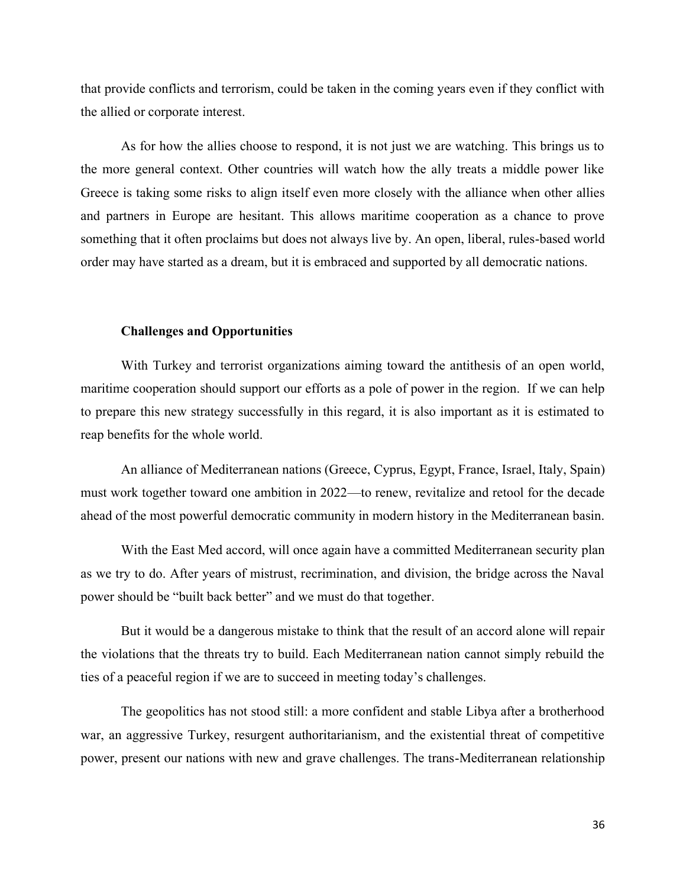that provide conflicts and terrorism, could be taken in the coming years even if they conflict with the allied or corporate interest.

As for how the allies choose to respond, it is not just we are watching. This brings us to the more general context. Other countries will watch how the ally treats a middle power like Greece is taking some risks to align itself even more closely with the alliance when other allies and partners in Europe are hesitant. This allows maritime cooperation as a chance to prove something that it often proclaims but does not always live by. An open, liberal, rules-based world order may have started as a dream, but it is embraced and supported by all democratic nations.

#### **Challenges and Opportunities**

With Turkey and terrorist organizations aiming toward the antithesis of an open world, maritime cooperation should support our efforts as a pole of power in the region. If we can help to prepare this new strategy successfully in this regard, it is also important as it is estimated to reap benefits for the whole world.

An alliance of Mediterranean nations (Greece, Cyprus, Egypt, France, Israel, Italy, Spain) must work together toward one ambition in 2022—to renew, revitalize and retool for the decade ahead of the most powerful democratic community in modern history in the Mediterranean basin.

With the East Med accord, will once again have a committed Mediterranean security plan as we try to do. After years of mistrust, recrimination, and division, the bridge across the Naval power should be "built back better" and we must do that together.

But it would be a dangerous mistake to think that the result of an accord alone will repair the violations that the threats try to build. Each Mediterranean nation cannot simply rebuild the ties of a peaceful region if we are to succeed in meeting today's challenges.

The geopolitics has not stood still: a more confident and stable Libya after a brotherhood war, an aggressive Turkey, resurgent authoritarianism, and the existential threat of competitive power, present our nations with new and grave challenges. The trans-Mediterranean relationship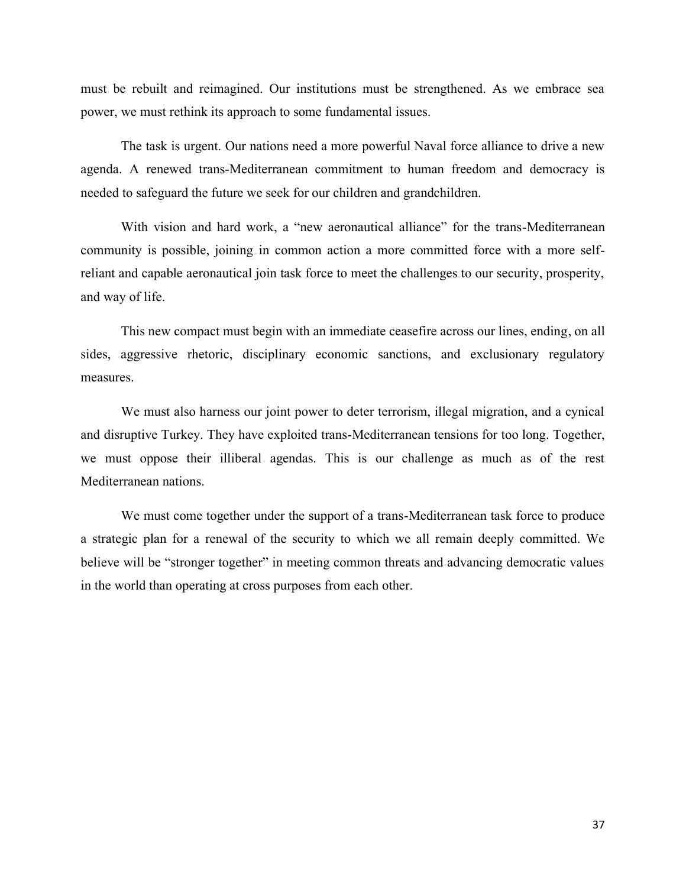must be rebuilt and reimagined. Our institutions must be strengthened. As we embrace sea power, we must rethink its approach to some fundamental issues.

The task is urgent. Our nations need a more powerful Naval force alliance to drive a new agenda. A renewed trans-Mediterranean commitment to human freedom and democracy is needed to safeguard the future we seek for our children and grandchildren.

With vision and hard work, a "new aeronautical alliance" for the trans-Mediterranean community is possible, joining in common action a more committed force with a more selfreliant and capable aeronautical join task force to meet the challenges to our security, prosperity, and way of life.

This new compact must begin with an immediate ceasefire across our lines, ending, on all sides, aggressive rhetoric, disciplinary economic sanctions, and exclusionary regulatory measures.

We must also harness our joint power to deter terrorism, illegal migration, and a cynical and disruptive Turkey. They have exploited trans-Mediterranean tensions for too long. Together, we must oppose their illiberal agendas. This is our challenge as much as of the rest Mediterranean nations.

We must come together under the support of a trans-Mediterranean task force to produce a strategic plan for a renewal of the security to which we all remain deeply committed. We believe will be "stronger together" in meeting common threats and advancing democratic values in the world than operating at cross purposes from each other.